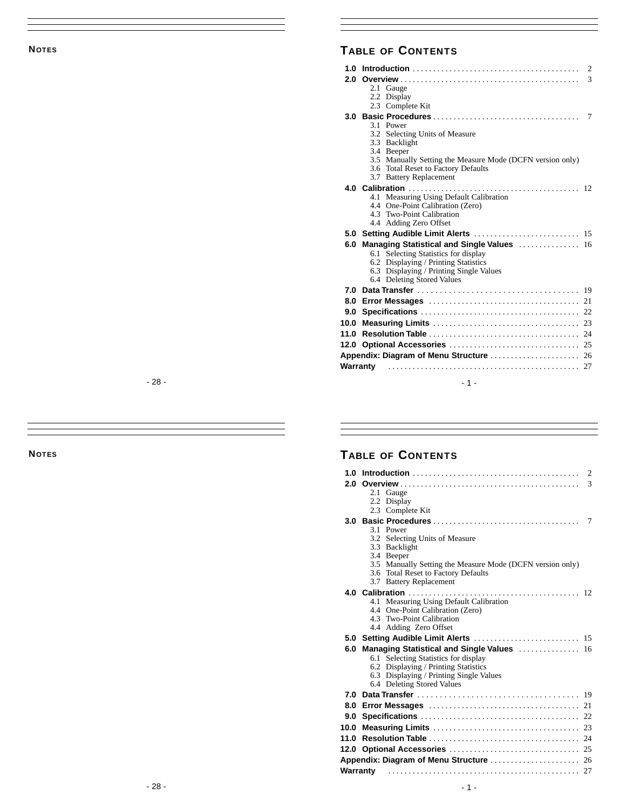# **NOTES**

|        | <b>TABLE OF CONTENTS</b>                                                                                                                                                                                  |
|--------|-----------------------------------------------------------------------------------------------------------------------------------------------------------------------------------------------------------|
|        | 2.1 Gauge<br>2.2 Display<br>2.3 Complete Kit                                                                                                                                                              |
|        | 3.1 Power<br>3.2 Selecting Units of Measure<br>3.3 Backlight<br>3.4 Beeper<br>3.5 Manually Setting the Measure Mode (DCFN version only)<br>3.6 Total Reset to Factory Defaults<br>3.7 Battery Replacement |
|        | 4.1 Measuring Using Default Calibration<br>4.4 One-Point Calibration (Zero)<br>4.3 Two-Point Calibration<br>4.4 Adding Zero Offset                                                                        |
|        |                                                                                                                                                                                                           |
|        | 6.0 Managing Statistical and Single Values  16<br>6.1 Selecting Statistics for display<br>6.2 Displaying / Printing Statistics<br>6.3 Displaying / Printing Single Values<br>6.4 Deleting Stored Values   |
|        |                                                                                                                                                                                                           |
|        |                                                                                                                                                                                                           |
|        |                                                                                                                                                                                                           |
|        |                                                                                                                                                                                                           |
|        |                                                                                                                                                                                                           |
|        |                                                                                                                                                                                                           |
|        | Warranty                                                                                                                                                                                                  |
| - 28 - | $-1-$                                                                                                                                                                                                     |

**NOTES**

|        | <b>TABLE OF CONTENTS</b>                                                                                                                                                                                  |
|--------|-----------------------------------------------------------------------------------------------------------------------------------------------------------------------------------------------------------|
|        | 2.1 Gauge<br>2.2 Display<br>2.3 Complete Kit                                                                                                                                                              |
|        | 3.1 Power<br>3.2 Selecting Units of Measure<br>3.3 Backlight<br>3.4 Beeper<br>3.5 Manually Setting the Measure Mode (DCFN version only)<br>3.6 Total Reset to Factory Defaults<br>3.7 Battery Replacement |
|        | 4.1 Measuring Using Default Calibration<br>4.4 One-Point Calibration (Zero)<br>4.3 Two-Point Calibration<br>4.4 Adding Zero Offset                                                                        |
|        |                                                                                                                                                                                                           |
|        | 6.0 Managing Statistical and Single Values  16<br>6.1 Selecting Statistics for display<br>6.2 Displaying / Printing Statistics<br>6.3 Displaying / Printing Single Values<br>6.4 Deleting Stored Values   |
|        |                                                                                                                                                                                                           |
|        |                                                                                                                                                                                                           |
|        |                                                                                                                                                                                                           |
|        |                                                                                                                                                                                                           |
|        |                                                                                                                                                                                                           |
|        |                                                                                                                                                                                                           |
|        | Warranty                                                                                                                                                                                                  |
| - 28 - | - 1 -                                                                                                                                                                                                     |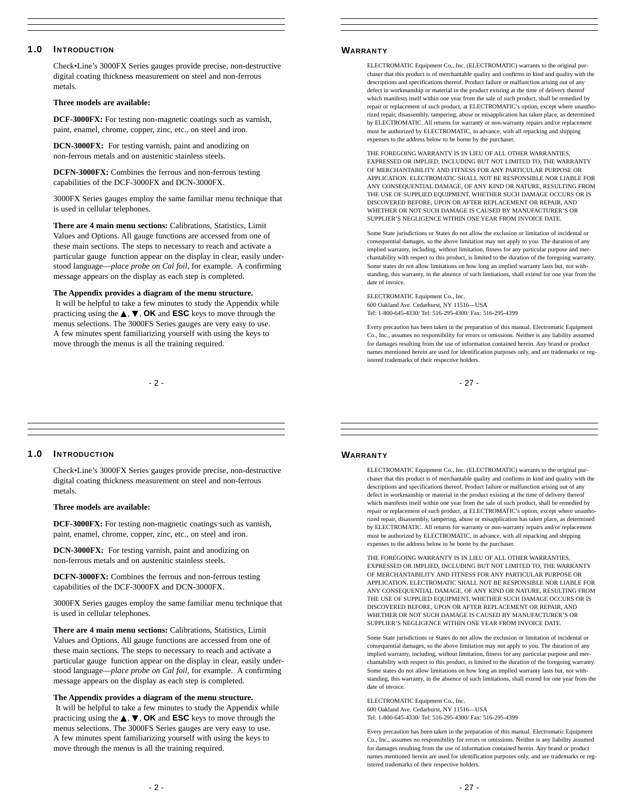# **1.0 I NTRODUCTION**

Check•Line's 3000FX Series gauges provide precise, non-destructive digital coating thickness measurement on steel and non-ferrous metals.

# **Three models are available:**

**DCF-3000FX:** For testing non-magnetic coatings such as varnish, paint, enamel, chrome, copper, zinc, etc., on steel and iron.

**DCN-3000FX:** For testing varnish, paint and anodizing on non-ferrous metals and on austenitic stainless steels.

**DCFN-3000FX:** Combines the ferrous and non-ferrous testing capabilities of the DCF-3000FX and DCN-3000FX.

3000FX Series gauges employ the same familiar menu technique that is used in cellular telephones.

**There are 4 main menu sections:** Calibrations, Statistics, Limit Values and Options. All gauge functions are accessed from one of these main sections. The steps to necessary to reach and activate a particular gauge function appear on the display in clear, easily understood language—*place probe on Cal foil,* for example. A confirming message appears on the display as each step is completed.

# **The Appendix provides a diagram of the menu structure.**

It will be helpful to take a few minutes to study the Appendix while practicing using the ▲, ▼, **OK** and **ESC** keys to move through the menus selections. The 3000FS Series gauges are very easy to use. A few minutes spent familiarizing yourself with using the keys to move through the menus is all the training required.

- 2 -

# **WARRANTY**

ELECTROMATIC Equipment Co., Inc. (ELECTROMATIC) warrants to the original purchaser that this product is of merchantable quality and confirms in kind and quality with the descriptions and specifications thereof. Product failure or malfunction arising out of any defect in workmanship or material in the product existing at the time of delivery thereof which manifests itself within one year from the sale of such product, shall be remedied by repair or replacement of such product, at ELECTROMATIC's option, except where unauthorized repair, disassembly, tampering, abuse or misapplication has taken place, as determined by ELECTROMATIC. All returns for warranty or non-warranty repairs and/or replacement must be authorized by ELECTROMATIC, in advance, with all repacking and shipping expenses to the address below to be borne by the purchaser.

THE FOREGOING WARRANTY IS IN LIEU OF ALL OTHER WARRANTIES, EXPRESSED OR IMPLIED, INCLUDING BUT NOT LIMITED TO, THE WARRANTY OF MERCHANTABILITY AND FITNESS FOR ANY PARTICULAR PURPOSE OR APPLICATION. ELECTROMATIC SHALL NOT BE RESPONSIBLE NOR LIABLE FOR ANY CONSEQUENTIAL DAMAGE, OF ANY KIND OR NATURE, RESULTING FROM THE USE OF SUPPLIED EQUIPMENT, WHETHER SUCH DAMAGE OCCURS OR IS DISCOVERED BEFORE, UPON OR AFTER REPLACEMENT OR REPAIR, AND WHETHER OR NOT SUCH DAMAGE IS CAUSED BY MANUFACTURER'S OR SUPPLIER'S NEGLIGENCE WITHIN ONE YEAR FROM INVOICE DATE.

Some State jurisdictions or States do not allow the exclusion or limitation of incidental or consequential damages, so the above limitation may not apply to you. The duration of any implied warranty, including, without limitation, fitness for any particular purpose and merchantability with respect to this product, is limited to the duration of the foregoing warranty. Some states do not allow limitations on how long an implied warranty lasts but, not withstanding, this warranty, in the absence of such limitations, shall extend for one year from the date of invoice.

ELECTROMATIC Equipment Co., Inc. 600 Oakland Ave. Cedarhurst, NY 11516—USA Tel: 1-800-645-4330/ Tel: 516-295-4300/ Fax: 516-295-4399

Every precaution has been taken in the preparation of this manual. Electromatic Equipment Co., Inc., assumes no responsibility for errors or omissions. Neither is any liability assumed for damages resulting from the use of information contained herein. Any brand or product names mentioned herein are used for identification purposes only, and are trademarks or registered trademarks of their respective holders.

- 27 -

# **1.0 I NTRODUCTION**

Check•Line's 3000FX Series gauges provide precise, non-destructive digital coating thickness measurement on steel and non-ferrous metals.

# **Three models are available:**

**DCF-3000FX:** For testing non-magnetic coatings such as varnish, paint, enamel, chrome, copper, zinc, etc., on steel and iron.

**DCN-3000FX:** For testing varnish, paint and anodizing on non-ferrous metals and on austenitic stainless steels.

**DCFN-3000FX:** Combines the ferrous and non-ferrous testing capabilities of the DCF-3000FX and DCN-3000FX.

3000FX Series gauges employ the same familiar menu technique that is used in cellular telephones.

**There are 4 main menu sections:** Calibrations, Statistics, Limit Values and Options. All gauge functions are accessed from one of these main sections. The steps to necessary to reach and activate a particular gauge function appear on the display in clear, easily understood language—*place probe on Cal foil,* for example. A confirming message appears on the display as each step is completed.

#### **The Appendix provides a diagram of the menu structure.**

It will be helpful to take a few minutes to study the Appendix while practicing using the ▲, ▼, **OK** and **ESC** keys to move through the menus selections. The 3000FS Series gauges are very easy to use. A few minutes spent familiarizing yourself with using the keys to move through the menus is all the training required.

#### **WARRANTY**

ELECTROMATIC Equipment Co., Inc. (ELECTROMATIC) warrants to the original purchaser that this product is of merchantable quality and confirms in kind and quality with the descriptions and specifications thereof. Product failure or malfunction arising out of any defect in workmanship or material in the product existing at the time of delivery thereof which manifests itself within one year from the sale of such product, shall be remedied by repair or replacement of such product, at ELECTROMATIC's option, except where unauthorized repair, disassembly, tampering, abuse or misapplication has taken place, as determined by ELECTROMATIC. All returns for warranty or non-warranty repairs and/or replacement must be authorized by ELECTROMATIC, in advance, with all repacking and shipping expenses to the address below to be borne by the purchaser

THE FOREGOING WARRANTY IS IN LIEU OF ALL OTHER WARRANTIES, EXPRESSED OR IMPLIED, INCLUDING BUT NOT LIMITED TO, THE WARRANTY OF MERCHANTABILITY AND FITNESS FOR ANY PARTICULAR PURPOSE OR APPLICATION. ELECTROMATIC SHALL NOT BE RESPONSIBLE NOR LIABLE FOR ANY CONSEQUENTIAL DAMAGE, OF ANY KIND OR NATURE, RESULTING FROM THE USE OF SUPPLIED EQUIPMENT, WHETHER SUCH DAMAGE OCCURS OR IS DISCOVERED BEFORE, UPON OR AFTER REPLACEMENT OR REPAIR, AND WHETHER OR NOT SUCH DAMAGE IS CAUSED BY MANUFACTURER'S OR SUPPLIER'S NEGLIGENCE WITHIN ONE YEAR FROM INVOICE DATE.

Some State jurisdictions or States do not allow the exclusion or limitation of incidental or consequential damages, so the above limitation may not apply to you. The duration of any implied warranty, including, without limitation, fitness for any particular purpose and merchantability with respect to this product, is limited to the duration of the foregoing warranty. Some states do not allow limitations on how long an implied warranty lasts but, not withstanding, this warranty, in the absence of such limitations, shall extend for one year from the date of invoice.

ELECTROMATIC Equipment Co., Inc. 600 Oakland Ave. Cedarhurst, NY 11516—USA Tel: 1-800-645-4330/ Tel: 516-295-4300/ Fax: 516-295-4399

Every precaution has been taken in the preparation of this manual. Electromatic Equipment Co., Inc., assumes no responsibility for errors or omissions. Neither is any liability assumed for damages resulting from the use of information contained herein. Any brand or product names mentioned herein are used for identification purposes only, and are trademarks or registered trademarks of their respective holders.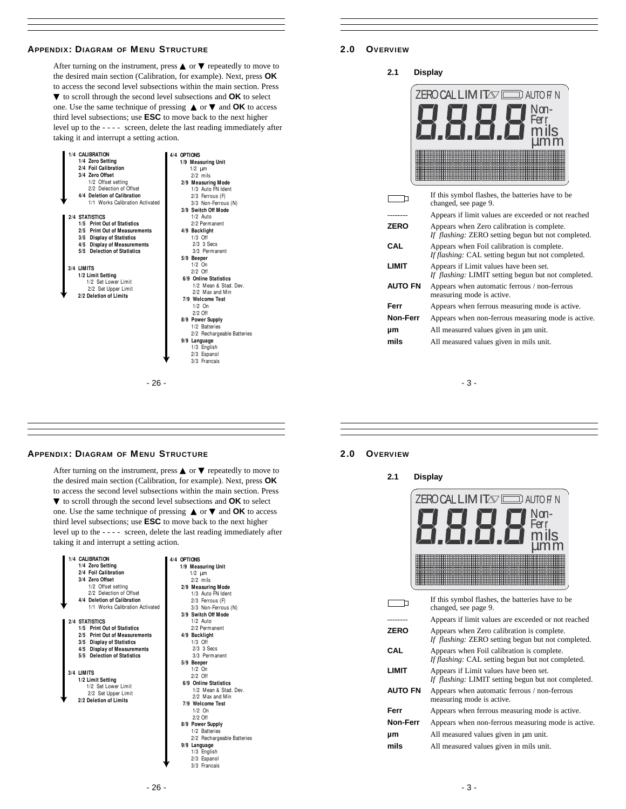# **APPENDIX: DIAGRAM OF MENU STRUCTURE**

After turning on the instrument, press  $\blacktriangle$  or  $\blacktriangledown$  repeatedly to move to the desired main section (Calibration, for example). Next, press **OK** to access the second level subsections within the main section. Press ▼ to scroll through the second level subsections and **OK** to select one. Use the same technique of pressing ▲ or ▼ and **OK** to access third level subsections; use **ESC** to move back to the next higher level up to the - - - - screen, delete the last reading immediately after taking it and interrupt a setting action.

| 1/4 CALIBRATION<br>1/4 Zero Setting<br>2/4 Foil Calibration<br>3/4 Zero Offset<br>1/2 Offset setting<br>2/2 Delection of Offset<br>4/4 Deletion of Calibration<br>1/1 Works Calibration Activated                                                                                    | 4/4 OPTIONS<br>1/9 Measuring Unit<br>$1/2$ $\mu$ m<br>$2/2$ mils<br>2/9 Measuring Mode<br>1/3 Auto FN Ident<br>2/3 Ferrous (F)<br>3/3 Non-Ferrous (N)                                                                                                                                                                                                                                                     |
|--------------------------------------------------------------------------------------------------------------------------------------------------------------------------------------------------------------------------------------------------------------------------------------|-----------------------------------------------------------------------------------------------------------------------------------------------------------------------------------------------------------------------------------------------------------------------------------------------------------------------------------------------------------------------------------------------------------|
| 2/4 STATISTICS<br>1/5 Print Out of Statistics<br>2/5 Print Out of Measurements<br>3/5 Display of Statistics<br>4/5 Display of Measurements<br>5/5 Delection of Statistics<br>3/4 LIMITS<br>1/2 Limit Setting<br>1/2 Set Lower Limit<br>2/2 Set Upper Limit<br>2/2 Deletion of Limits | 3/9 Switch Off Mode<br>$1/2$ Auto<br>2/2 Permanent<br>4/9 Backlight<br>$1/3$ Off<br>2/3 3 Secs<br>3/3 Permanent<br>5/9 Beeper<br>$1/2$ On<br>$2/2$ Off<br>6/9 Online Statistics<br>1/2 Mean & Stad, Dev.<br>2/2 Max and Min<br>7/9 Welcome Test<br>$1/2$ On<br>$2/2$ Off<br>8/9 Power Supply<br>1/2 Batteries<br>2/2 Rechargeable Batteries<br>9/9 Language<br>1/3 English<br>2/3 Espanol<br>3/3 Francais |
| - 26 -                                                                                                                                                                                                                                                                               |                                                                                                                                                                                                                                                                                                                                                                                                           |

# **2.0 OVERVIEW**

**2.1 Display**



|                | If this symbol flashes, the batteries have to be<br>changed, see page 9.                         |
|----------------|--------------------------------------------------------------------------------------------------|
| -------        | Appears if limit values are exceeded or not reached                                              |
| ZERO           | Appears when Zero calibration is complete.<br>If flashing: ZERO setting begun but not completed. |
| CAL            | Appears when Foil calibration is complete.<br>If flashing: CAL setting begun but not completed.  |
| LIMIT          | Appears if Limit values have been set.<br>If flashing: LIMIT setting begun but not completed.    |
| <b>AUTO FN</b> | Appears when automatic ferrous / non-ferrous<br>measuring mode is active.                        |
| Ferr           | Appears when ferrous measuring mode is active.                                                   |
| Non-Ferr       | Appears when non-ferrous measuring mode is active.                                               |
| μm             | All measured values given in $\mu$ m unit.                                                       |
| mils           | All measured values given in mils unit.                                                          |
|                |                                                                                                  |

- 3 -

# **APPENDIX: DIAGRAM OF MENU STRUCTURE**

After turning on the instrument, press  $\blacktriangle$  or  $\blacktriangledown$  repeatedly to move to the desired main section (Calibration, for example). Next, press **OK** to access the second level subsections within the main section. Press ▼ to scroll through the second level subsections and **OK** to select one. Use the same technique of pressing ▲ or ▼ and **OK** to access third level subsections; use **ESC** to move back to the next higher level up to the - - - - screen, delete the last reading immediately after taking it and interrupt a setting action.

| 1/4 CALIBRATION                 | 4/4 OPTIONS                |
|---------------------------------|----------------------------|
| 1/4 Zero Setting                | 1/9 Measuring Unit         |
| 2/4 Foil Calibration            | $1/2$ $\mu$ m              |
| 3/4 Zero Offset                 | $2/2$ mils                 |
| 1/2 Offset setting              | 2/9 Measuring Mode         |
| 2/2 Delection of Offset         | 1/3 Auto FN Ident          |
| 4/4 Deletion of Calibration     | 2/3 Ferrous (F)            |
| 1/1 Works Calibration Activated | 3/3 Non-Ferrous (N)        |
|                                 | 3/9 Switch Off Mode        |
| 2/4 STATISTICS                  | $1/2$ Auto                 |
| 1/5 Print Out of Statistics     | 2/2 Permanent              |
| 2/5 Print Out of Measurements   | 4/9 Backlight              |
| 3/5 Display of Statistics       | $1/3$ Off                  |
| 4/5 Display of Measurements     | $2/3$ $3$ Secs             |
| 5/5 Delection of Statistics     | 3/3 Permanent              |
|                                 | 5/9 Beeper                 |
| 3/4 LIMITS                      | $1/2$ On                   |
| 1/2 Limit Setting               | $2/2$ Off                  |
| 1/2 Set Lower Limit             | 6/9 Online Statistics      |
| 2/2 Set Upper Limit             | 1/2 Mean & Stad, Dev.      |
| 2/2 Deletion of Limits          | 2/2 Max and Min            |
|                                 | 7/9 Welcome Test           |
|                                 | $1/2$ On                   |
|                                 | $2/2$ Off                  |
|                                 | 8/9 Power Supply           |
|                                 | 1/2 Batteries              |
|                                 | 2/2 Rechargeable Batteries |
|                                 | 9/9 Language               |
|                                 | 1/3 English                |
|                                 | 2/3 Espanol                |
|                                 | 3/3 Francais               |

### **2.0 OVERVIEW**

**2.1 Display**



|                 | If this symbol flashes, the batteries have to be<br>changed, see page 9.                         |
|-----------------|--------------------------------------------------------------------------------------------------|
| -------         | Appears if limit values are exceeded or not reached                                              |
| <b>ZERO</b>     | Appears when Zero calibration is complete.<br>If flashing: ZERO setting begun but not completed. |
| CAL             | Appears when Foil calibration is complete.<br>If flashing: CAL setting begun but not completed.  |
| LIMIT           | Appears if Limit values have been set.<br>If flashing: LIMIT setting begun but not completed.    |
| <b>AUTO FN</b>  | Appears when automatic ferrous / non-ferrous<br>measuring mode is active.                        |
| Ferr            | Appears when ferrous measuring mode is active.                                                   |
| <b>Non-Ferr</b> | Appears when non-ferrous measuring mode is active.                                               |
| μm              | All measured values given in $\mu$ m unit.                                                       |
| mils            | All measured values given in mils unit.                                                          |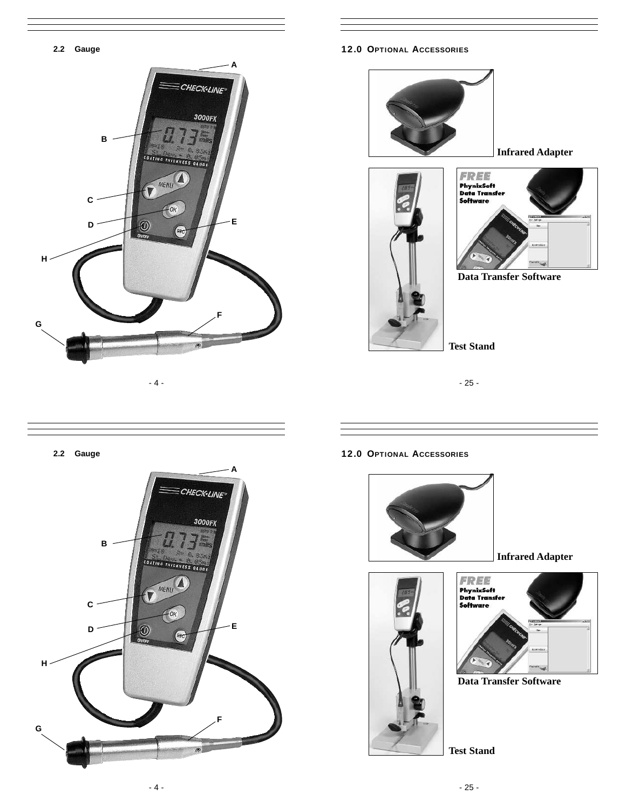

**12.0 OPTIONAL ACCESSORIES**







**Data Transfer Software**

**Test Stand**

**2.2 Gauge**



**12.0 OPTIONAL ACCESSORIES**



**Infrared Adapter**





**Data Transfer Software**

**Test Stand**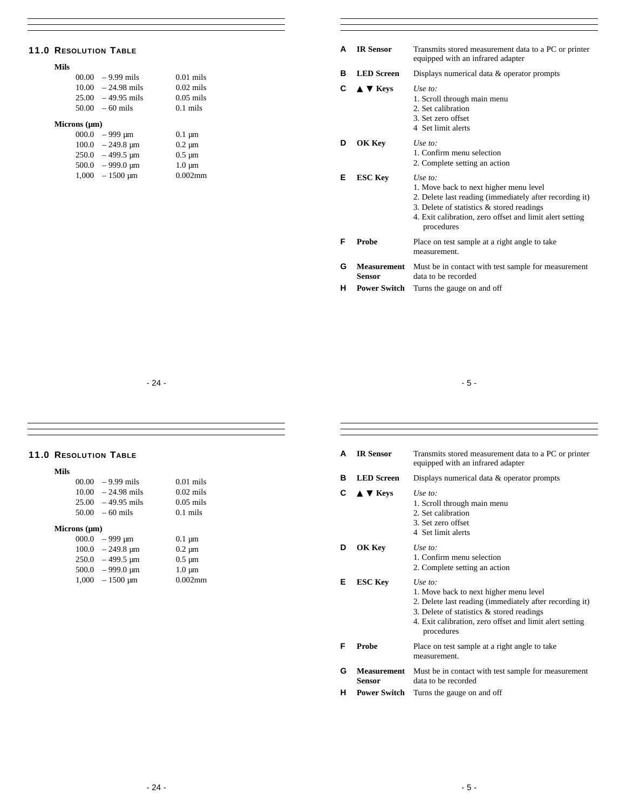# **11.0 RESOLUTION TABLE**

# **Mils**

|                            | $00.00 - 9.99$ mils  | $0.01$ mils |
|----------------------------|----------------------|-------------|
|                            | $10.00 - 24.98$ mils | $0.02$ mils |
|                            | $25.00 - 49.95$ mils | $0.05$ mils |
|                            | $50.00 - 60$ mils    | $0.1$ mils  |
| $\cdots$ $\cdots$ $\cdots$ |                      |             |

# **Microns (µm)**

| 000.0 | – 999 µm                     | $0.1 \mu m$ |
|-------|------------------------------|-------------|
| 100.0 | $-249.8 \mu m$               | $0.2 \mu m$ |
| 250.0 | $-499.5 \text{ }\mu\text{m}$ | $0.5 \mu m$ |
| 500.0 | $-999.0 \text{ µm}$          | $1.0 \mu m$ |
| 1.000 | $-1500 \mu m$                | $0.002$ mm  |

| A | <b>IR Sensor</b>                      | Transmits stored measurement data to a PC or printer<br>equipped with an infrared adapter                                                                                                                                              |
|---|---------------------------------------|----------------------------------------------------------------------------------------------------------------------------------------------------------------------------------------------------------------------------------------|
| в | <b>LED</b> Screen                     | Displays numerical data $\&$ operator prompts                                                                                                                                                                                          |
| C | $\triangle$ $\blacktriangledown$ Keys | Use to:<br>1. Scroll through main menu<br>2. Set calibration<br>3. Set zero offset<br>4 Set limit alerts                                                                                                                               |
| D | OK Key                                | Use to:<br>1. Confirm menu selection<br>2. Complete setting an action                                                                                                                                                                  |
| Е | <b>ESC Kev</b>                        | Use to:<br>1. Move back to next higher menu level<br>2. Delete last reading (immediately after recording it)<br>3. Delete of statistics $\&$ stored readings<br>4. Exit calibration, zero offset and limit alert setting<br>procedures |
| F | Probe                                 | Place on test sample at a right angle to take<br>measurement.                                                                                                                                                                          |
| G | <b>Measurement</b><br><b>Sensor</b>   | Must be in contact with test sample for measurement<br>data to be recorded                                                                                                                                                             |

**H Power Switch** Turns the gauge on and off

- 24 -

 $\boldsymbol{\text{mils}}$ mils mils

# **11.0 RESOLUTION TABLE**

# **Mils**

| $00.00 - 9.99$ mils  | $0.01$ mil |
|----------------------|------------|
| $10.00 - 24.98$ mils | $0.02$ mil |
| $25.00 - 49.95$ mils | $0.05$ mil |
| $50.00 - 60$ mils    | $0.1$ mils |
|                      |            |

# **Microns (µm)**

|       | $000.0 - 999 \text{ µm}$     | $0.1 \mu m$ |
|-------|------------------------------|-------------|
|       | $100.0 - 249.8 \text{ µm}$   | $0.2 \mu m$ |
|       | $250.0 - 499.5 \text{ µm}$   | $0.5 \mu m$ |
| 500.0 | $-999.0 \text{ }\mu\text{m}$ | $1.0 \mu m$ |
|       | $1,000 - 1500 \mu m$         | $0.002$ mm  |

| A | <b>IR Sensor</b>                      | Transmits stored measurement data to a PC or printer<br>equipped with an infrared adapter                                                                                                                                              |
|---|---------------------------------------|----------------------------------------------------------------------------------------------------------------------------------------------------------------------------------------------------------------------------------------|
| в | <b>LED</b> Screen                     | Displays numerical data $&$ operator prompts                                                                                                                                                                                           |
| C | $\triangle$ $\blacktriangledown$ Keys | Use to:<br>1. Scroll through main menu<br>2. Set calibration<br>3. Set zero offset<br>4 Set limit alerts                                                                                                                               |
| D | OK Key                                | Use to:<br>1. Confirm menu selection<br>2. Complete setting an action                                                                                                                                                                  |
| Е | <b>ESC Key</b>                        | Use to:<br>1. Move back to next higher menu level<br>2. Delete last reading (immediately after recording it)<br>3. Delete of statistics $\&$ stored readings<br>4. Exit calibration, zero offset and limit alert setting<br>procedures |
| F | <b>Probe</b>                          | Place on test sample at a right angle to take<br>measurement.                                                                                                                                                                          |
| G | <b>Measurement</b><br><b>Sensor</b>   | Must be in contact with test sample for measurement<br>data to be recorded                                                                                                                                                             |
| н | <b>Power Switch</b>                   | Turns the gauge on and off                                                                                                                                                                                                             |

- 5 -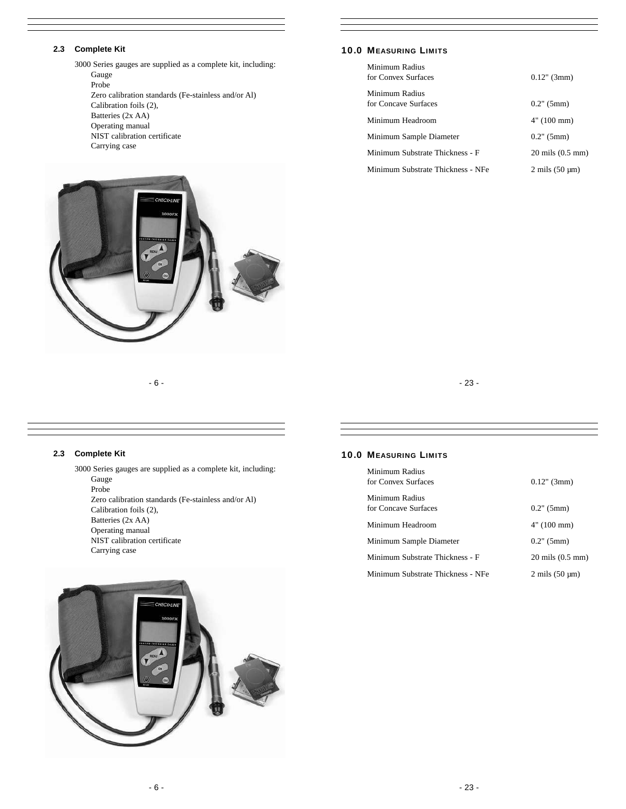# **2.3 Complete Kit**

3000 Series gauges are supplied as a complete kit, including: Gauge Probe Zero calibration standards (Fe-stainless and/or Al) Calibration foils (2), Batteries (2x AA) Operating manual NIST calibration certificate Carrying case



# **10.0 MEASURING LIMITS**

| Minimum Radius<br>for Convex Surfaces  | $0.12$ " (3mm)                       |
|----------------------------------------|--------------------------------------|
| Minimum Radius<br>for Concave Surfaces | $0.2$ " (5mm)                        |
| Minimum Headroom                       | 4" (100 mm)                          |
| Minimum Sample Diameter                | $0.2$ " (5mm)                        |
| Minimum Substrate Thickness - F        | $20 \text{ miles } (0.5 \text{ mm})$ |
| Minimum Substrate Thickness - NFe      | $2 \text{ mils} (50 \text{ µm})$     |

- 6 -

# - 23 -

# **2.3 Complete Kit**

3000 Series gauges are supplied as a complete kit, including: Gauge Probe Zero calibration standards (Fe-stainless and/or Al) Calibration foils (2), Batteries (2x AA) Operating manual NIST calibration certificate Carrying case

# **10.0 MEASURING LIMITS**

| Minimum Radius<br>for Convex Surfaces  | $0.12$ " (3mm)                       |
|----------------------------------------|--------------------------------------|
| Minimum Radius<br>for Concave Surfaces | $0.2$ " (5mm)                        |
| Minimum Headroom                       | 4" (100 mm)                          |
| Minimum Sample Diameter                | $0.2$ " (5mm)                        |
| Minimum Substrate Thickness - F        | $20 \text{ miles } (0.5 \text{ mm})$ |
| Minimum Substrate Thickness - NFe      | $2 \text{ miles } (50 \text{ µm})$   |

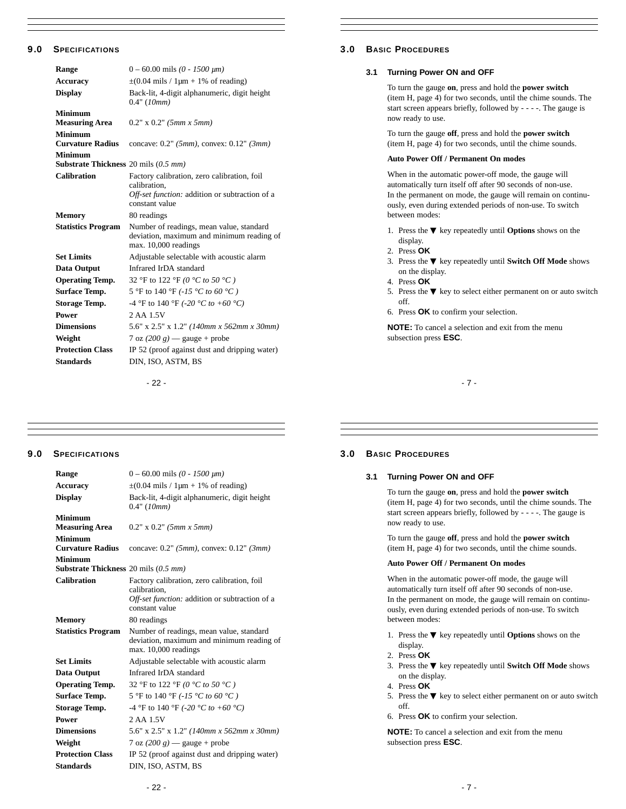# **9.0 SPECIFICATIONS**

| Range                                                              | $0 - 60.00$ mils (0 - 1500 $\mu$ m)                                                                                             |
|--------------------------------------------------------------------|---------------------------------------------------------------------------------------------------------------------------------|
| <b>Accuracy</b>                                                    | $\pm$ (0.04 mils / 1µm + 1% of reading)                                                                                         |
| <b>Display</b>                                                     | Back-lit, 4-digit alphanumeric, digit height<br>0.4" (10mm)                                                                     |
| Minimum<br><b>Measuring Area</b>                                   | $0.2" \times 0.2"$ (5mm x 5mm)                                                                                                  |
| <b>Minimum</b><br><b>Curvature Radius</b>                          | concave: $0.2$ " (5mm), convex: $0.12$ " (3mm)                                                                                  |
| <b>Minimum</b><br><b>Substrate Thickness</b> 20 mils $(0.5 \, mm)$ |                                                                                                                                 |
| <b>Calibration</b>                                                 | Factory calibration, zero calibration, foil<br>calibration.<br>Off-set function: addition or subtraction of a<br>constant value |
| <b>Memory</b>                                                      | 80 readings                                                                                                                     |
| <b>Statistics Program</b>                                          | Number of readings, mean value, standard<br>deviation, maximum and minimum reading of<br>max. 10,000 readings                   |
| <b>Set Limits</b>                                                  | Adjustable selectable with acoustic alarm                                                                                       |
| <b>Data Output</b>                                                 | Infrared IrDA standard                                                                                                          |
| <b>Operating Temp.</b>                                             | 32 °F to 122 °F (0 °C to 50 °C)                                                                                                 |
| <b>Surface Temp.</b>                                               | 5 °F to 140 °F (-15 °C to 60 °C)                                                                                                |
| <b>Storage Temp.</b>                                               | -4 °F to 140 °F (-20 °C to +60 °C)                                                                                              |
| Power                                                              | 2 AA 1.5V                                                                                                                       |
| <b>Dimensions</b>                                                  | 5.6" x 2.5" x 1.2" (140mm x 562mm x 30mm)                                                                                       |
| Weight                                                             | 7 oz $(200 g)$ = gauge + probe                                                                                                  |
| <b>Protection Class</b>                                            | IP 52 (proof against dust and dripping water)                                                                                   |
| <b>Standards</b>                                                   | DIN, ISO, ASTM, BS                                                                                                              |
|                                                                    |                                                                                                                                 |

- 22 -

# **3.0 BASIC PROCEDURES**

# **3.1 Turning Power ON and OFF**

To turn the gauge **on**, press and hold the **power switch**  (item H, page 4) for two seconds, until the chime sounds. The start screen appears briefly, followed by - - - -. The gauge is now ready to use.

To turn the gauge **off**, press and hold the **power switch**  (item H, page 4) for two seconds, until the chime sounds.

#### **Auto Power Off / Permanent On modes**

When in the automatic power-off mode, the gauge will automatically turn itself off after 90 seconds of non-use. In the permanent on mode, the gauge will remain on continuously, even during extended periods of non-use. To switch between modes:

1. Press the ▼ key repeatedly until **Options** shows on the display.

- 2. Press **OK**
- 3. Press the ▼ key repeatedly until **Switch Off Mode** shows on the display.
- 4. Press **OK**
- 5. Press the ▼ key to select either permanent on or auto switch off.
- 6. Press **OK** to confirm your selection.

**NOTE:** To cancel a selection and exit from the menu subsection press **ESC**.

- 7 -

# **9.0 SPECIFICATIONS**

| $0 - 60.00$ mils (0 - 1500 $\mu$ m)                                                                                             |
|---------------------------------------------------------------------------------------------------------------------------------|
| $\pm$ (0.04 mils / 1µm + 1% of reading)                                                                                         |
| Back-lit, 4-digit alphanumeric, digit height<br>0.4" (10mm)                                                                     |
| $0.2" \times 0.2"$ (5mm x 5mm)                                                                                                  |
| concave: $0.2$ " (5mm), convex: $0.12$ " (3mm)                                                                                  |
| <b>Substrate Thickness</b> 20 mils (0.5 mm)                                                                                     |
| Factory calibration, zero calibration, foil<br>calibration.<br>Off-set function: addition or subtraction of a<br>constant value |
| 80 readings                                                                                                                     |
| Number of readings, mean value, standard<br>deviation, maximum and minimum reading of<br>max. 10,000 readings                   |
| Adjustable selectable with acoustic alarm                                                                                       |
| Infrared IrDA standard                                                                                                          |
| 32 °F to 122 °F (0 °C to 50 °C)                                                                                                 |
| 5 °F to 140 °F (-15 °C to 60 °C)                                                                                                |
| -4 °F to 140 °F (-20 °C to +60 °C)                                                                                              |
| 2 AA 1.5V                                                                                                                       |
| 5.6" x 2.5" x 1.2" (140mm x 562mm x 30mm)                                                                                       |
| 7 oz $(200 g)$ = gauge + probe                                                                                                  |
| IP 52 (proof against dust and dripping water)                                                                                   |
|                                                                                                                                 |
|                                                                                                                                 |

# **3.0 BASIC PROCEDURES**

#### **3.1 Turning Power ON and OFF**

To turn the gauge **on**, press and hold the **power switch**  (item H, page 4) for two seconds, until the chime sounds. The start screen appears briefly, followed by - - - -. The gauge is now ready to use.

To turn the gauge **off**, press and hold the **power switch**  (item H, page 4) for two seconds, until the chime sounds.

#### **Auto Power Off / Permanent On modes**

When in the automatic power-off mode, the gauge will automatically turn itself off after 90 seconds of non-use. In the permanent on mode, the gauge will remain on continuously, even during extended periods of non-use. To switch between modes:

1. Press the ▼ key repeatedly until **Options** shows on the display.

- 2. Press **OK**
- 3. Press the ▼ key repeatedly until **Switch Off Mode** shows on the display.
- 4. Press **OK**
- 5. Press the ▼ key to select either permanent on or auto switch off.
- 6. Press **OK** to confirm your selection.

**NOTE:** To cancel a selection and exit from the menu subsection press **ESC**.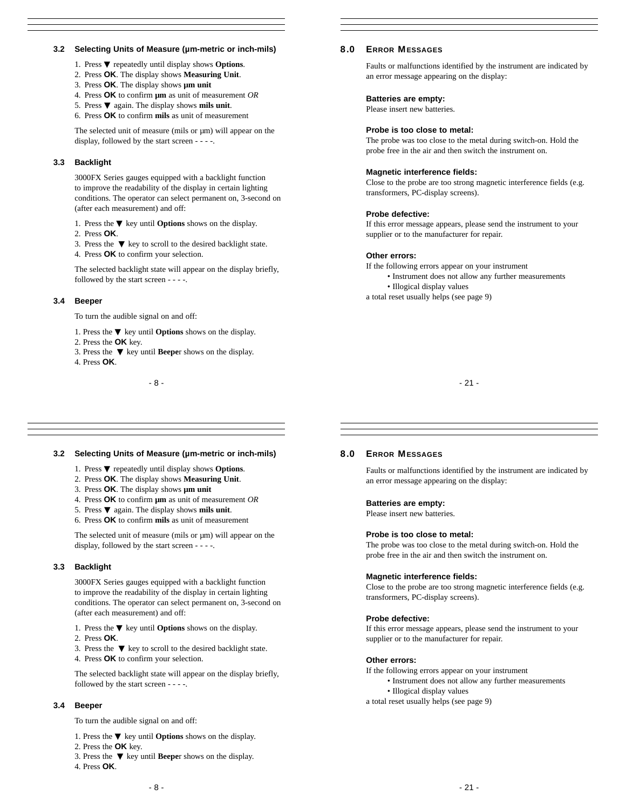# **3.2 Selecting Units of Measure (µm-metric or inch-mils)**

- 1. Press ▼ repeatedly until display shows **Options**.
- 2. Press **OK**. The display shows **Measuring Unit**.
- 3. Press **OK**. The display shows **µm unit**
- 4. Press **OK** to confirm **µm** as unit of measurement *OR*
- 5. Press ▼ again. The display shows **mils unit**.
- 6. Press **OK** to confirm **mils** as unit of measurement

The selected unit of measure (mils or  $\mu$ m) will appear on the display, followed by the start screen - - - -.

# **3.3 Backlight**

3000FX Series gauges equipped with a backlight function to improve the readability of the display in certain lighting conditions. The operator can select permanent on, 3-second on (after each measurement) and off:

- 1. Press the ▼ key until **Options** shows on the display.
- 2. Press **OK**.

3. Press the ▼ key to scroll to the desired backlight state. 4. Press **OK** to confirm your selection.

The selected backlight state will appear on the display briefly, followed by the start screen - - - -.

#### **3.4 Beeper**

To turn the audible signal on and off:

- 1. Press the ▼ key until **Options** shows on the display.
- 2. Press the **OK** key.
- 3. Press the ▼ key until **Beepe**r shows on the display.
- 4. Press **OK**.

#### - 8 -

# **8.0 ERROR MESSAGES**

Faults or malfunctions identified by the instrument are indicated by an error message appearing on the display:

#### **Batteries are empty:**

Please insert new batteries.

#### **Probe is too close to metal:**

The probe was too close to the metal during switch-on. Hold the probe free in the air and then switch the instrument on.

#### **Magnetic interference fields:**

Close to the probe are too strong magnetic interference fields (e.g. transformers, PC-display screens).

#### **Probe defective:**

If this error message appears, please send the instrument to your supplier or to the manufacturer for repair.

#### **Other errors:**

If the following errors appear on your instrument

- Instrument does not allow any further measurements
- Illogical display values

a total reset usually helps (see page 9)

- 21 -

### **3.2 Selecting Units of Measure (µm-metric or inch-mils)**

- 1. Press ▼ repeatedly until display shows **Options**.
- 2. Press **OK**. The display shows **Measuring Unit**.
- 3. Press **OK**. The display shows **µm unit**
- 4. Press **OK** to confirm **µm** as unit of measurement *OR*
- 5. Press ▼ again. The display shows **mils unit**.
- 6. Press **OK** to confirm **mils** as unit of measurement

The selected unit of measure (mils or  $\mu$ m) will appear on the display, followed by the start screen - - - -.

# **3.3 Backlight**

3000FX Series gauges equipped with a backlight function to improve the readability of the display in certain lighting conditions. The operator can select permanent on, 3-second on (after each measurement) and off:

- 1. Press the ▼ key until **Options** shows on the display.
- 2. Press **OK**.

3. Press the ▼ key to scroll to the desired backlight state. 4. Press **OK** to confirm your selection.

The selected backlight state will appear on the display briefly, followed by the start screen - - - -.

# **3.4 Beeper**

To turn the audible signal on and off:

- 1. Press the ▼ key until **Options** shows on the display.
- 2. Press the **OK** key.
- 3. Press the ▼ key until **Beepe**r shows on the display.
- 4. Press **OK**.

#### **8.0 ERROR MESSAGES**

Faults or malfunctions identified by the instrument are indicated by an error message appearing on the display:

#### **Batteries are empty:**

Please insert new batteries.

#### **Probe is too close to metal:**

The probe was too close to the metal during switch-on. Hold the probe free in the air and then switch the instrument on.

#### **Magnetic interference fields:**

Close to the probe are too strong magnetic interference fields (e.g. transformers, PC-display screens).

#### **Probe defective:**

If this error message appears, please send the instrument to your supplier or to the manufacturer for repair.

#### **Other errors:**

If the following errors appear on your instrument

- Instrument does not allow any further measurements
- Illogical display values
- a total reset usually helps (see page 9)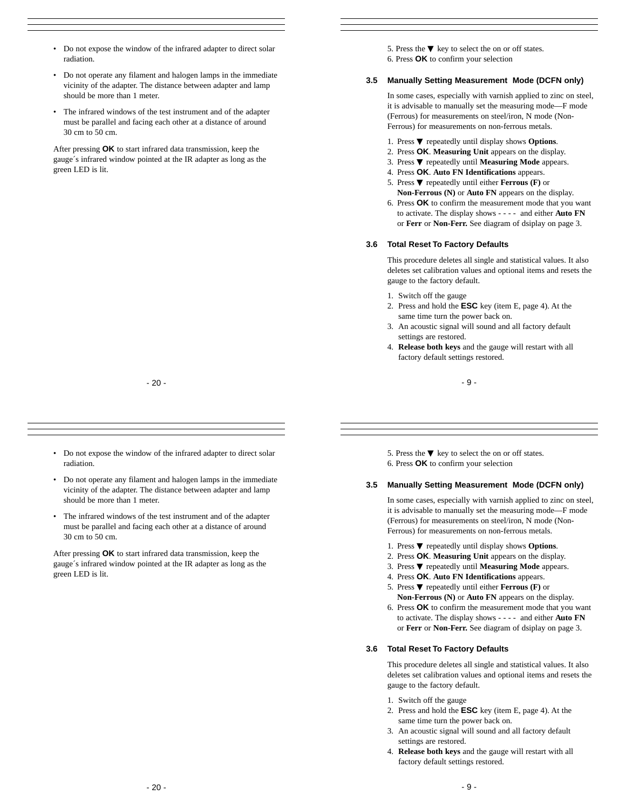- Do not expose the window of the infrared adapter to direct solar radiation.
- Do not operate any filament and halogen lamps in the immediate vicinity of the adapter. The distance between adapter and lamp should be more than 1 meter.
- The infrared windows of the test instrument and of the adapter must be parallel and facing each other at a distance of around 30 cm to 50 cm.

After pressing **OK** to start infrared data transmission, keep the gauge´s infrared window pointed at the IR adapter as long as the green LED is lit.

5. Press the  $\Psi$  key to select the on or off states. 6. Press **OK** to confirm your selection

#### **3.5 Manually Setting Measurement Mode (DCFN only)**

In some cases, especially with varnish applied to zinc on steel, it is advisable to manually set the measuring mode—F mode (Ferrous) for measurements on steel/iron, N mode (Non-Ferrous) for measurements on non-ferrous metals.

- 1. Press ▼ repeatedly until display shows **Options**.
- 2. Press **OK**. **Measuring Unit** appears on the display.
- 3. Press ▼ repeatedly until **Measuring Mode** appears.
- 4. Press **OK**. **Auto FN Identifications** appears.
- 5. Press ▼ repeatedly until either **Ferrous (F)** or **Non-Ferrous (N)** or **Auto FN** appears on the display.
- 6. Press **OK** to confirm the measurement mode that you want to activate. The display shows - - - - and either **Auto FN**  or **Ferr** or **Non-Ferr.** See diagram of dsiplay on page 3.

#### **3.6 Total Reset To Factory Defaults**

This procedure deletes all single and statistical values. It also deletes set calibration values and optional items and resets the gauge to the factory default.

- 1. Switch off the gauge
- 2. Press and hold the **ESC** key (item E, page 4). At the same time turn the power back on.
- 3. An acoustic signal will sound and all factory default settings are restored.
- 4. **Release both keys** and the gauge will restart with all factory default settings restored.

- 9 -

- 20 -
- Do not expose the window of the infrared adapter to direct solar radiation.
- Do not operate any filament and halogen lamps in the immediate vicinity of the adapter. The distance between adapter and lamp should be more than 1 meter.
- The infrared windows of the test instrument and of the adapter must be parallel and facing each other at a distance of around 30 cm to 50 cm.

After pressing **OK** to start infrared data transmission, keep the gauge´s infrared window pointed at the IR adapter as long as the green LED is lit.

5. Press the  $\Psi$  key to select the on or off states. 6. Press **OK** to confirm your selection

#### **3.5 Manually Setting Measurement Mode (DCFN only)**

In some cases, especially with varnish applied to zinc on steel, it is advisable to manually set the measuring mode—F mode (Ferrous) for measurements on steel/iron, N mode (Non-Ferrous) for measurements on non-ferrous metals.

- 1. Press ▼ repeatedly until display shows **Options**.
- 2. Press **OK**. **Measuring Unit** appears on the display.
- 3. Press ▼ repeatedly until **Measuring Mode** appears.
- 4. Press **OK**. **Auto FN Identifications** appears.
- 5. Press ▼ repeatedly until either **Ferrous (F)** or **Non-Ferrous (N)** or **Auto FN** appears on the display.
- 6. Press **OK** to confirm the measurement mode that you want to activate. The display shows - - - - and either **Auto FN**  or **Ferr** or **Non-Ferr.** See diagram of dsiplay on page 3.

#### **3.6 Total Reset To Factory Defaults**

This procedure deletes all single and statistical values. It also deletes set calibration values and optional items and resets the gauge to the factory default.

- 1. Switch off the gauge
- 2. Press and hold the **ESC** key (item E, page 4). At the same time turn the power back on.
- 3. An acoustic signal will sound and all factory default settings are restored.
- 4. **Release both keys** and the gauge will restart with all factory default settings restored.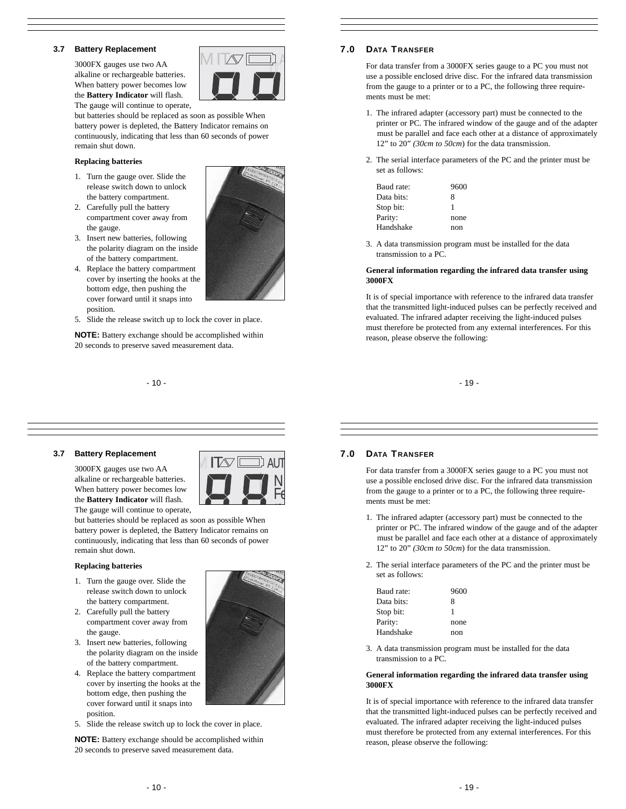# **3.7 Battery Replacement**

3000FX gauges use two AA alkaline or rechargeable batteries. When battery power becomes low the **Battery Indicator** will flash. The gauge will continue to operate,



but batteries should be replaced as soon as possible When battery power is depleted, the Battery Indicator remains on continuously, indicating that less than 60 seconds of power remain shut down.

#### **Replacing batteries**

- 1. Turn the gauge over. Slide the release switch down to unlock the battery compartment.
- 2. Carefully pull the battery compartment cover away from the gauge.
- 3. Insert new batteries, following the polarity diagram on the inside of the battery compartment.
- 4. Replace the battery compartment cover by inserting the hooks at the bottom edge, then pushing the cover forward until it snaps into position.
- 5. Slide the release switch up to lock the cover in place.

**NOTE:** Battery exchange should be accomplished within 20 seconds to preserve saved measurement data.

- 10 -



# **7.0 DATA T RANSFER**

For data transfer from a 3000FX series gauge to a PC you must not use a possible enclosed drive disc. For the infrared data transmission from the gauge to a printer or to a PC, the following three requirements must be met:

- 1. The infrared adapter (accessory part) must be connected to the printer or PC. The infrared window of the gauge and of the adapter must be parallel and face each other at a distance of approximately 12" to 20" *(30cm to 50cm*) for the data transmission.
- 2. The serial interface parameters of the PC and the printer must be set as follows:

| Baud rate: | 9600 |
|------------|------|
| Data bits: | 8    |
| Stop bit:  | 1    |
| Parity:    | none |
| Handshake  | non  |

3. A data transmission program must be installed for the data transmission to a PC.

#### **General information regarding the infrared data transfer using 3000FX**

It is of special importance with reference to the infrared data transfer that the transmitted light-induced pulses can be perfectly received and evaluated. The infrared adapter receiving the light-induced pulses must therefore be protected from any external interferences. For this reason, please observe the following:

- 19 -

# **3.7 Battery Replacement**

3000FX gauges use two AA alkaline or rechargeable batteries. When battery power becomes low the **Battery Indicator** will flash. The gauge will continue to operate,

but batteries should be replaced as soon as possible When battery power is depleted, the Battery Indicator remains on continuously, indicating that less than 60 seconds of power remain shut down.

#### **Replacing batteries**

- 1. Turn the gauge over. Slide the release switch down to unlock the battery compartment.
- 2. Carefully pull the battery compartment cover away from the gauge.
- 3. Insert new batteries, following the polarity diagram on the inside of the battery compartment.
- 4. Replace the battery compartment cover by inserting the hooks at the bottom edge, then pushing the cover forward until it snaps into position.
- 5. Slide the release switch up to lock the cover in place.

**NOTE:** Battery exchange should be accomplished within 20 seconds to preserve saved measurement data.

# $\overline{\mathsf{N}}$  . Fe  $\frac{1}{\sqrt{2}}$  $\mathbf{r}$  $\mathbb M$  IT  $\infty$  automation  $\mathbb M$

# **7.0 DATA T RANSFER**

For data transfer from a 3000FX series gauge to a PC you must not use a possible enclosed drive disc. For the infrared data transmission from the gauge to a printer or to a PC, the following three requirements must be met:

- 1. The infrared adapter (accessory part) must be connected to the printer or PC. The infrared window of the gauge and of the adapter must be parallel and face each other at a distance of approximately 12" to 20" *(30cm to 50cm*) for the data transmission.
- 2. The serial interface parameters of the PC and the printer must be set as follows:

| Baud rate: | 9600 |
|------------|------|
| Data bits: | 8    |
| Stop bit:  | 1    |
| Parity:    | none |
| Handshake  | non  |
|            |      |

3. A data transmission program must be installed for the data transmission to a PC.

#### **General information regarding the infrared data transfer using 3000FX**

It is of special importance with reference to the infrared data transfer that the transmitted light-induced pulses can be perfectly received and evaluated. The infrared adapter receiving the light-induced pulses must therefore be protected from any external interferences. For this reason, please observe the following: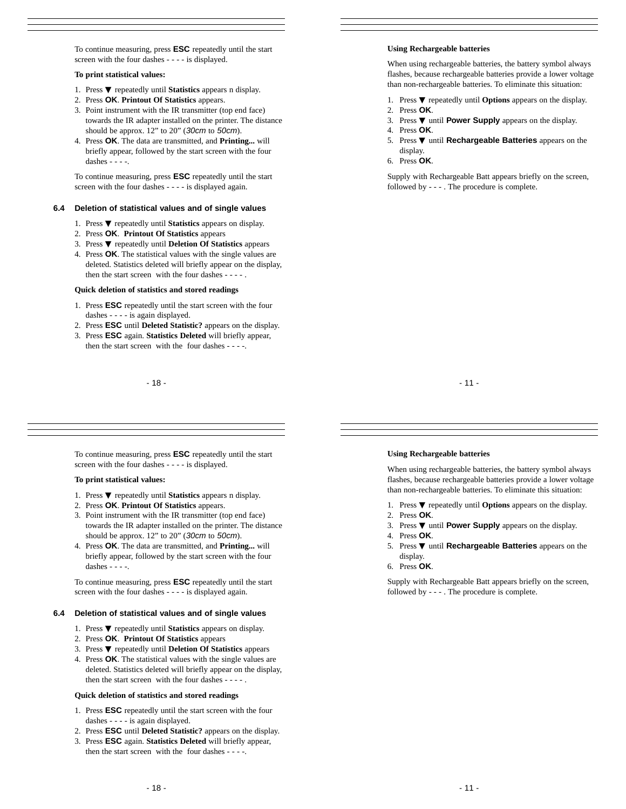To continue measuring, press **ESC** repeatedly until the start screen with the four dashes - - - - is displayed.

#### **To print statistical values:**

- 1. Press ▼ repeatedly until **Statistics** appears n display.
- 2. Press **OK**. **Printout Of Statistics** appears.
- 3. Point instrument with the IR transmitter (top end face) towards the IR adapter installed on the printer. The distance should be approx. 12" to 20" (30cm to 50cm).
- 4. Press **OK**. The data are transmitted, and **Printing...** will briefly appear, followed by the start screen with the four dashes -

To continue measuring, press **ESC** repeatedly until the start screen with the four dashes - - - - is displayed again.

#### **6.4 Deletion of statistical values and of single values**

- 1. Press ▼ repeatedly until **Statistics** appears on display.
- 2. Press **OK**. **Printout Of Statistics** appears
- 3. Press ▼ repeatedly until **Deletion Of Statistics** appears
- 4. Press **OK**. The statistical values with the single values are deleted. Statistics deleted will briefly appear on the display, then the start screen with the four dashes - - - - .

#### **Quick deletion of statistics and stored readings**

- 1. Press **ESC** repeatedly until the start screen with the four dashes - - - - is again displayed.
- 2. Press **ESC** until **Deleted Statistic?** appears on the display.
- 3. Press **ESC** again. **Statistics Deleted** will briefly appear, then the start screen with the four dashes - - - -.

- 18 -

To continue measuring, press **ESC** repeatedly until the start screen with the four dashes - - - - is displayed.

#### **To print statistical values:**

- 1. Press ▼ repeatedly until **Statistics** appears n display.
- 2. Press **OK**. **Printout Of Statistics** appears.
- 3. Point instrument with the IR transmitter (top end face) towards the IR adapter installed on the printer. The distance should be approx. 12" to 20" (30cm to 50cm).
- 4. Press **OK**. The data are transmitted, and **Printing...** will briefly appear, followed by the start screen with the four dashes - - - -.

To continue measuring, press **ESC** repeatedly until the start screen with the four dashes - - - - is displayed again.

# **6.4 Deletion of statistical values and of single values**

- 1. Press ▼ repeatedly until **Statistics** appears on display.
- 2. Press **OK**. **Printout Of Statistics** appears
- 3. Press ▼ repeatedly until **Deletion Of Statistics** appears
- 4. Press **OK**. The statistical values with the single values are deleted. Statistics deleted will briefly appear on the display, then the start screen with the four dashes -

#### **Quick deletion of statistics and stored readings**

- 1. Press **ESC** repeatedly until the start screen with the four dashes - - - - is again displayed.
- 2. Press **ESC** until **Deleted Statistic?** appears on the display.
- 3. Press **ESC** again. **Statistics Deleted** will briefly appear, then the start screen with the four dashes - - - -.

# **Using Rechargeable batteries**

When using rechargeable batteries, the battery symbol always flashes, because rechargeable batteries provide a lower voltage than non-rechargeable batteries. To eliminate this situation:

- 1. Press ▼ repeatedly until **Options** appears on the display.
- 2. Press **OK**.
- 3. Press ▼ until **Power Supply** appears on the display.
- 4. Press **OK**.
- 5. Press ▼ until **Rechargeable Batteries** appears on the
- display.
- 6. Press **OK**.

Supply with Rechargeable Batt appears briefly on the screen, followed by - - - . The procedure is complete.

- 11 -

#### **Using Rechargeable batteries**

When using rechargeable batteries, the battery symbol always flashes, because rechargeable batteries provide a lower voltage than non-rechargeable batteries. To eliminate this situation:

- 1. Press ▼ repeatedly until **Options** appears on the display.
- 2. Press **OK**.
	- 3. Press ▼ until **Power Supply** appears on the display.
	- 4. Press **OK**.
	- 5. Press ▼ until **Rechargeable Batteries** appears on the display.
- 6. Press **OK**.

Supply with Rechargeable Batt appears briefly on the screen, followed by - - - . The procedure is complete.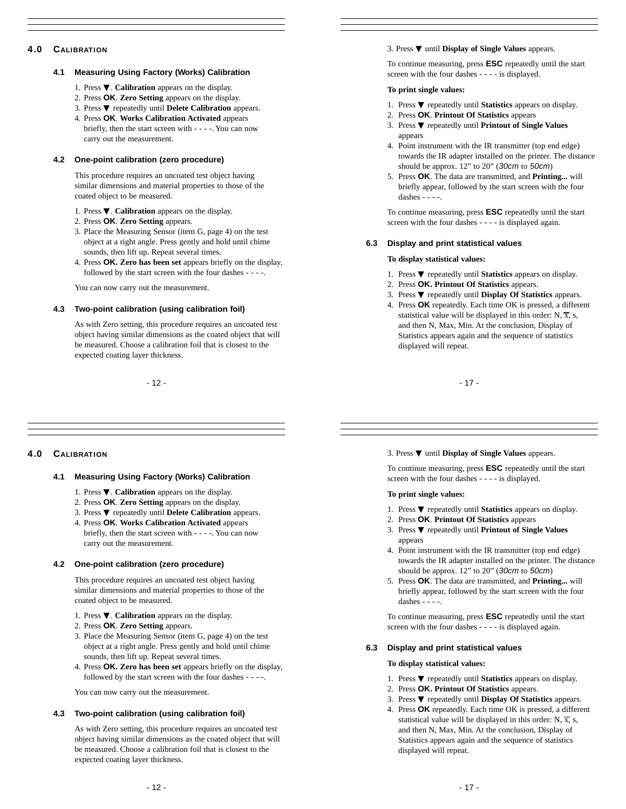# **4.0 CALIBRATION**

# **4.1 Measuring Using Factory (Works) Calibration**

- 1. Press ▼. **Calibration** appears on the display.
- 2. Press **OK**. **Zero Setting** appears on the display.
- 3. Press ▼ repeatedly until **Delete Calibration** appears.
- 4. Press **OK**. **Works Calibration Activated** appears briefly, then the start screen with - - - -. You can now carry out the measurement.

# **4.2 One-point calibration (zero procedure)**

This procedure requires an uncoated test object having similar dimensions and material properties to those of the coated object to be measured.

- 1. Press ▼. **Calibration** appears on the display.
- 2. Press **OK**. **Zero Setting** appears.
- 3. Place the Measuring Sensor (item G, page 4) on the test object at a right angle. Press gently and hold until chime sounds, then lift up. Repeat several times.
- 4. Press **OK. Zero has been set** appears briefly on the display, followed by the start screen with the four dashes - - - -.

You can now carry out the measurement.

#### **4.3 Two-point calibration (using calibration foil)**

As with Zero setting, this procedure requires an uncoated test object having similar dimensions as the coated object that will be measured. Choose a calibration foil that is closest to the expected coating layer thickness.

- 12 -

# **4.0 CALIBRATION**

# **4.1 Measuring Using Factory (Works) Calibration**

- 1. Press ▼. **Calibration** appears on the display.
- 2. Press **OK**. **Zero Setting** appears on the display.
- 3. Press ▼ repeatedly until **Delete Calibration** appears.
- 4. Press **OK**. **Works Calibration Activated** appears briefly, then the start screen with - - - -. You can now carry out the measurement.

#### **4.2 One-point calibration (zero procedure)**

This procedure requires an uncoated test object having similar dimensions and material properties to those of the coated object to be measured.

- 1. Press ▼. **Calibration** appears on the display.
- 2. Press **OK**. **Zero Setting** appears.
- 3. Place the Measuring Sensor (item G, page 4) on the test object at a right angle. Press gently and hold until chime sounds, then lift up. Repeat several times.
- 4. Press **OK. Zero has been set** appears briefly on the display, followed by the start screen with the four dashes - - - -.

You can now carry out the measurement.

# **4.3 Two-point calibration (using calibration foil)**

As with Zero setting, this procedure requires an uncoated test object having similar dimensions as the coated object that will be measured. Choose a calibration foil that is closest to the expected coating layer thickness.

### 3. Press ▼ until **Display of Single Values** appears.

To continue measuring, press **ESC** repeatedly until the start screen with the four dashes - - - - is displayed.

#### **To print single values:**

- 1. Press ▼ repeatedly until **Statistics** appears on display.
- 2. Press **OK**. **Printout Of Statistics** appears
- 3. Press ▼ repeatedly until **Printout of Single Values**  appears
- 4. Point instrument with the IR transmitter (top end edge) towards the IR adapter installed on the printer. The distance should be approx. 12" to 20" (30cm to 50cm)
- 5. Press **OK**. The data are transmitted, and **Printing...** will briefly appear, followed by the start screen with the four dashes  $- - -$ .

To continue measuring, press **ESC** repeatedly until the start screen with the four dashes - - - - is displayed again.

#### **6.3 Display and print statistical values**

#### **To display statistical values:**

- 1. Press ▼ repeatedly until **Statistics** appears on display.
- 2. Press **OK. Printout Of Statistics** appears.
- 3. Press ▼ repeatedly until **Display Of Statistics** appears. 4. Press **OK** repeatedly. Each time OK is pressed, a different statistical value will be displayed in this order: N,  $\overline{x}$ , s, and then N, Max, Min. At the conclusion, Display of Statistics appears again and the sequence of statistics displayed will repeat.

- 17 -

# 3. Press ▼ until **Display of Single Values** appears.

To continue measuring, press **ESC** repeatedly until the start screen with the four dashes - - - - is displayed.

#### **To print single values:**

- 1. Press ▼ repeatedly until **Statistics** appears on display.
- 2. Press **OK**. **Printout Of Statistics** appears
- 3. Press ▼ repeatedly until **Printout of Single Values**  appears
- 4. Point instrument with the IR transmitter (top end edge) towards the IR adapter installed on the printer. The distance should be approx. 12" to 20" (30cm to 50cm)
- 5. Press **OK**. The data are transmitted, and **Printing...** will briefly appear, followed by the start screen with the four dashes  $- - -$ .

To continue measuring, press **ESC** repeatedly until the start screen with the four dashes - - - - is displayed again.

#### **6.3 Display and print statistical values**

#### **To display statistical values:**

- 1. Press ▼ repeatedly until **Statistics** appears on display.
- 2. Press **OK. Printout Of Statistics** appears.
- 3. Press ▼ repeatedly until **Display Of Statistics** appears.
- 4. Press **OK** repeatedly. Each time OK is pressed, a different statistical value will be displayed in this order: N,  $\overline{x}$ , s, and then N, Max, Min. At the conclusion, Display of Statistics appears again and the sequence of statistics displayed will repeat.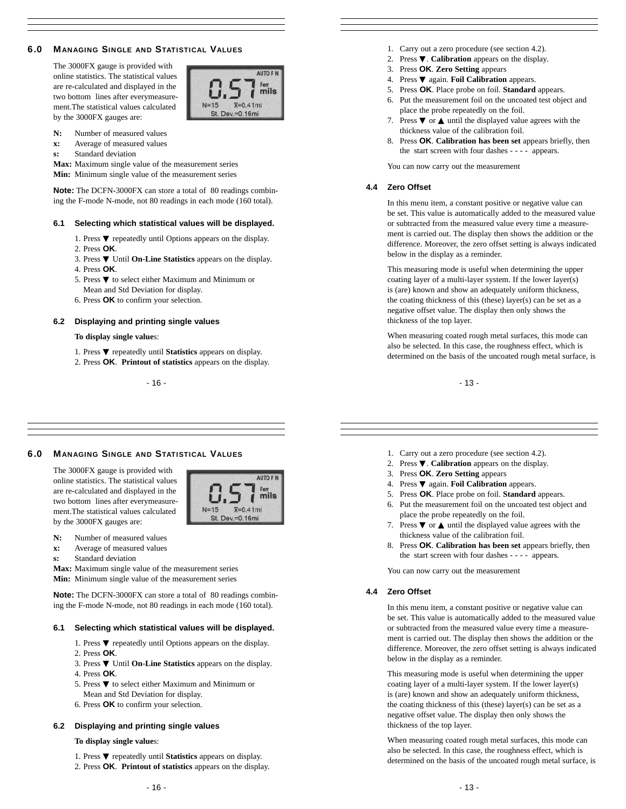# **6.0 MANAGING SINGLE AND STATISTICAL VALUES**

The 3000FX gauge is provided with online statistics. The statistical values are re-calculated and displayed in the two bottom lines after everymeasurement.The statistical values calculated by the 3000FX gauges are:



- **N:** Number of measured values
- **x:** Average of measured values
- **s:** Standard deviation

**Max:** Maximum single value of the measurement series

**Min:** Minimum single value of the measurement series

**Note:** The DCFN-3000FX can store a total of 80 readings combining the F-mode N-mode, not 80 readings in each mode (160 total).

#### **6.1 Selecting which statistical values will be displayed.**

- 1. Press ▼ repeatedly until Options appears on the display.
- 2. Press **OK**.
- 3. Press ▼ Until **On-Line Statistics** appears on the display. 4. Press **OK**.
- 
- 5. Press ▼ to select either Maximum and Minimum or Mean and Std Deviation for display.
- 6. Press **OK** to confirm your selection.

#### **6.2 Displaying and printing single values**

#### **To display single value**s:

- 1. Press ▼ repeatedly until **Statistics** appears on display.
- 2. Press **OK**. **Printout of statistics** appears on the display.

- 16 -

#### 1. Carry out a zero procedure (see section 4.2).

- 2. Press ▼. **Calibration** appears on the display.
- 3. Press **OK**. **Zero Setting** appears
- 4. Press ▼ again. **Foil Calibration** appears.
- 5. Press **OK**. Place probe on foil. **Standard** appears.
- 6. Put the measurement foil on the uncoated test object and place the probe repeatedly on the foil.
- 7. Press  $\nabla$  or  $\triangle$  until the displayed value agrees with the thickness value of the calibration foil.
- 8. Press **OK**. **Calibration has been set** appears briefly, then the start screen with four dashes - - - - appears.

You can now carry out the measurement

#### **4.4 Zero Offset**

In this menu item, a constant positive or negative value can be set. This value is automatically added to the measured value or subtracted from the measured value every time a measurement is carried out. The display then shows the addition or the difference. Moreover, the zero offset setting is always indicated below in the display as a reminder.

This measuring mode is useful when determining the upper coating layer of a multi-layer system. If the lower layer(s) is (are) known and show an adequately uniform thickness, the coating thickness of this (these) layer(s) can be set as a negative offset value. The display then only shows the thickness of the top layer.

When measuring coated rough metal surfaces, this mode can also be selected. In this case, the roughness effect, which is determined on the basis of the uncoated rough metal surface, is

- 13 -

### **6.0 MANAGING SINGLE AND STATISTICAL VALUES**

The 3000FX gauge is provided with online statistics. The statistical values are re-calculated and displayed in the two bottom lines after everymeasurement.The statistical values calculated by the 3000FX gauges are:



- **x:** Average of measured values
- **s:** Standard deviation
- **Max:** Maximum single value of the measurement series

**Min:** Minimum single value of the measurement series

**Note:** The DCFN-3000FX can store a total of 80 readings combining the F-mode N-mode, not 80 readings in each mode (160 total).

#### **6.1 Selecting which statistical values will be displayed.**

- 1. Press ▼ repeatedly until Options appears on the display.
- 2. Press **OK**.
- 3. Press ▼ Until **On-Line Statistics** appears on the display. 4. Press **OK**.
- 5. Press $\blacktriangledown$  to select either Maximum and Minimum or Mean and Std Deviation for display.
- 6. Press **OK** to confirm your selection.

#### **6.2 Displaying and printing single values**

#### **To display single value**s:

- 1. Press ▼ repeatedly until **Statistics** appears on display.
- 2. Press **OK**. **Printout of statistics** appears on the display.
- 1. Carry out a zero procedure (see section 4.2).
- 2. Press ▼. **Calibration** appears on the display.
- 3. Press **OK**. **Zero Setting** appears
- 4. Press ▼ again. **Foil Calibration** appears.
- 5. Press **OK**. Place probe on foil. **Standard** appears.
- 6. Put the measurement foil on the uncoated test object and place the probe repeatedly on the foil.
- 7. Press  $\nabla$  or  $\triangle$  until the displayed value agrees with the thickness value of the calibration foil.
- 8. Press **OK**. **Calibration has been set** appears briefly, then the start screen with four dashes - - - - appears.

You can now carry out the measurement

#### **4.4 Zero Offset**

In this menu item, a constant positive or negative value can be set. This value is automatically added to the measured value or subtracted from the measured value every time a measurement is carried out. The display then shows the addition or the difference. Moreover, the zero offset setting is always indicated below in the display as a reminder.

This measuring mode is useful when determining the upper coating layer of a multi-layer system. If the lower layer(s) is (are) known and show an adequately uniform thickness, the coating thickness of this (these) layer(s) can be set as a negative offset value. The display then only shows the thickness of the top layer.

When measuring coated rough metal surfaces, this mode can also be selected. In this case, the roughness effect, which is determined on the basis of the uncoated rough metal surface, is

AUTO F I mils  $\bar{x} = 0.41$ mi  $N=15$ St. Dev.=0.16mi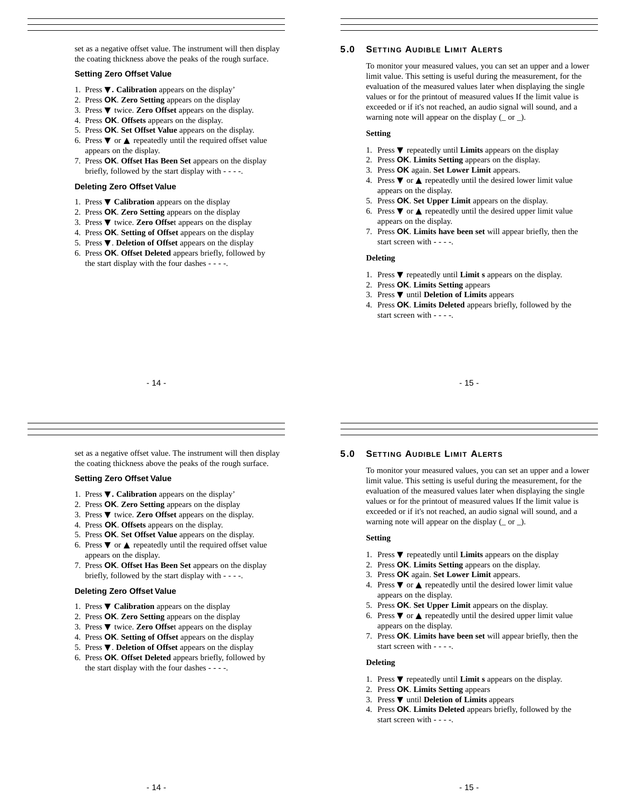set as a negative offset value. The instrument will then display the coating thickness above the peaks of the rough surface.

### **Setting Zero Offset Value**

- 1. Press ▼**. Calibration** appears on the display'
- 2. Press **OK**. **Zero Setting** appears on the display
- 3. Press ▼ twice. **Zero Offset** appears on the display.
- 4. Press **OK**. **Offsets** appears on the display.
- 5. Press **OK**. **Set Offset Value** appears on the display. 6. Press  $\blacktriangledown$  or  $\blacktriangle$  repeatedly until the required offset value
- appears on the display.
- 7. Press **OK**. **Offset Has Been Set** appears on the display briefly, followed by the start display with - - - -.

# **Deleting Zero Offset Value**

- 1. Press ▼ **Calibration** appears on the display
- 2. Press **OK**. **Zero Setting** appears on the display
- 3. Press ▼ twice. **Zero Offse**t appears on the display
- 4. Press **OK**. **Setting of Offset** appears on the display
- 5. Press ▼. **Deletion of Offset** appears on the display
- 6. Press **OK**. **Offset Deleted** appears briefly, followed by the start display with the four dashes - - - -.

# **5.0 SETTING AUDIBLE LIMIT ALERTS**

To monitor your measured values, you can set an upper and a lower limit value. This setting is useful during the measurement, for the evaluation of the measured values later when displaying the single values or for the printout of measured values If the limit value is exceeded or if it's not reached, an audio signal will sound, and a warning note will appear on the display (\_ or \_).

### **Setting**

- 1. Press ▼ repeatedly until **Limits** appears on the display
- 2. Press **OK**. **Limits Setting** appears on the display.
- 3. Press **OK** again. **Set Lower Limit** appears.
- 4. Press  $\blacktriangledown$  or  $\blacktriangle$  repeatedly until the desired lower limit value appears on the display.
- 5. Press **OK**. **Set Upper Limit** appears on the display.
- 6. Press  $\blacktriangledown$  or  $\blacktriangle$  repeatedly until the desired upper limit value appears on the display.
- 7. Press **OK**. **Limits have been set** will appear briefly, then the start screen with - - - -.

#### **Deleting**

- 1. Press ▼ repeatedly until **Limit s** appears on the display.
- 2. Press **OK**. **Limits Setting** appears
- 3. Press ▼ until **Deletion of Limits** appears
- 4. Press **OK**. **Limits Deleted** appears briefly, followed by the start screen with - - - -.

- 15 -

- 14 -

set as a negative offset value. The instrument will then display the coating thickness above the peaks of the rough surface.

#### **Setting Zero Offset Value**

- 1. Press ▼**. Calibration** appears on the display'
- 2. Press **OK**. **Zero Setting** appears on the display
- 3. Press ▼ twice. **Zero Offset** appears on the display.
- 4. Press **OK**. **Offsets** appears on the display.
- 5. Press **OK**. **Set Offset Value** appears on the display.
- 6. Press  $\blacktriangledown$  or  $\blacktriangle$  repeatedly until the required offset value appears on the display.
- 7. Press **OK**. **Offset Has Been Set** appears on the display briefly, followed by the start display with - - - -.

#### **Deleting Zero Offset Value**

- 1. Press ▼ **Calibration** appears on the display
- 2. Press **OK**. **Zero Setting** appears on the display
- 3. Press ▼ twice. **Zero Offse**t appears on the display
- 4. Press **OK**. **Setting of Offset** appears on the display
- 5. Press ▼. **Deletion of Offset** appears on the display
- 6. Press **OK**. **Offset Deleted** appears briefly, followed by the start display with the four dashes - - - -.

# **5.0 SETTING AUDIBLE LIMIT ALERTS**

To monitor your measured values, you can set an upper and a lower limit value. This setting is useful during the measurement, for the evaluation of the measured values later when displaying the single values or for the printout of measured values If the limit value is exceeded or if it's not reached, an audio signal will sound, and a warning note will appear on the display  $($  or  $)$ .

#### **Setting**

- 1. Press ▼ repeatedly until **Limits** appears on the display
- 2. Press **OK**. **Limits Setting** appears on the display.
- 3. Press **OK** again. **Set Lower Limit** appears.
- 4. Press  $\blacktriangledown$  or  $\blacktriangle$  repeatedly until the desired lower limit value appears on the display.
- 5. Press **OK**. **Set Upper Limit** appears on the display.
- 6. Press  $\blacktriangledown$  or  $\blacktriangle$  repeatedly until the desired upper limit value appears on the display.
- 7. Press **OK**. **Limits have been set** will appear briefly, then the start screen with - - - -.

# **Deleting**

- 1. Press ▼ repeatedly until **Limit s** appears on the display.
- 2. Press **OK**. **Limits Setting** appears
- 3. Press ▼ until **Deletion of Limits** appears
- 4. Press **OK**. **Limits Deleted** appears briefly, followed by the start screen with - - - -.